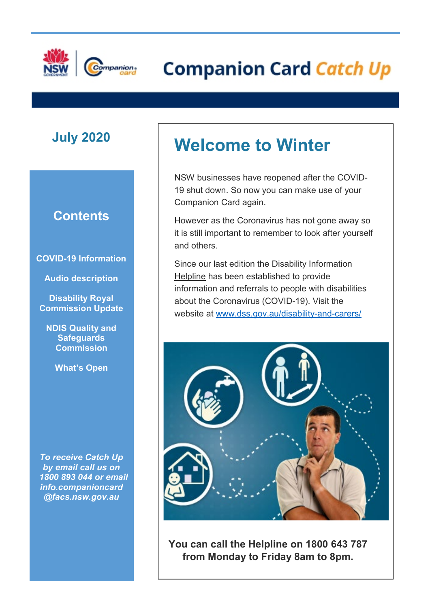

# **E** External Companion Card Catch Up

### **Contents**

**COVID-19 Information**

**Audio description**

**Disability Royal Commission Update**

**NDIS Quality and Safeguards Commission** 

**What's Open**

*To receive Catch Up by email call us on 1800 893 044 or email info.companioncard @facs.nsw.gov.au*

# **July <sup>2020</sup> Welcome to Winter**

NSW businesses have reopened after the COVID-19 shut down. So now you can make use of your Companion Card again.

However as the Coronavirus has not gone away so it is still important to remember to look after yourself and others.

Since our last edition the Disability Information Helpline has been established to provide information and referrals to people with disabilities about the Coronavirus (COVID-19). Visit the website at [www.dss.gov.au/disability-and-carers/](http://www.dss.gov.au/disability-and-carers/)



**You can call the Helpline on 1800 643 787 from Monday to Friday 8am to 8pm.**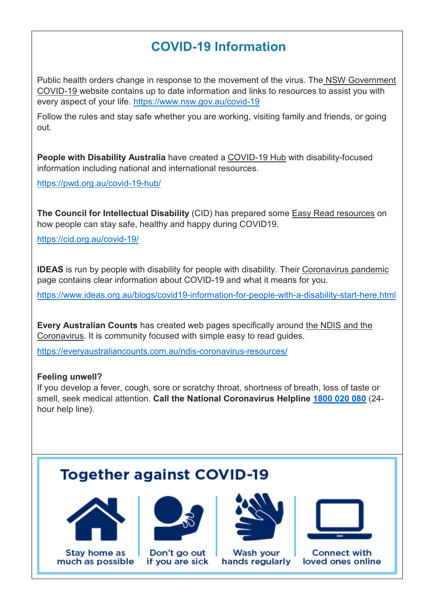## **COVID-19 Information**

Public health orders change in response to the movement of the virus. The NSW Government COVID-19 website contains up to date information and links to resources to assist you with every aspect of your life.<https://www.nsw.gov.au/covid-19>

Follow the rules and stay safe whether you are working, visiting family and friends, or going out.

**People with Disability Australia** have created a COVID-19 Hub with disability-focused information including national and international resources.

<https://pwd.org.au/covid-19-hub/>

**The Council for Intellectual Disability** (CID) has prepared some Easy Read resources on how people can stay safe, healthy and happy during COVID19.

<https://cid.org.au/covid-19/>

**IDEAS** is run by people with disability for people with disability. Their Coronavirus pandemic page contains clear information about COVID-19 and what it means for you.

<https://www.ideas.org.au/blogs/covid19-information-for-people-with-a-disability-start-here.html>

**Every Australian Counts** has created web pages specifically around the NDIS and the Coronavirus. It is community focused with simple easy to read guides.

<https://everyaustraliancounts.com.au/ndis-coronavirus-resources/>

#### **Feeling unwell?**

If you develop a fever, cough, sore or scratchy throat, shortness of breath, loss of taste or smell, seek medical attention. **Call the National Coronavirus Helpline [1800 020 080](tel:1800020080)** (24 hour help line).

### **Together against COVID-19**









Stay home as  $\parallel$  Don't go out  $\parallel$  Wash your  $\parallel$  Connect with uch as possible if you are sick hands regularly loved ones onlir much as possible if you are sick hands regularly loved ones online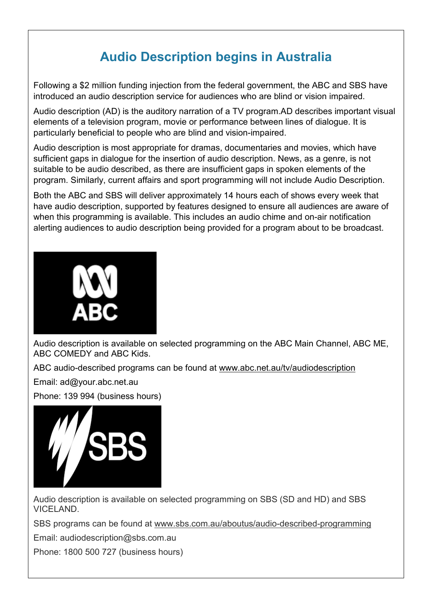# **Audio Description begins in Australia**

Following a \$2 million funding injection from the federal government, the ABC and SBS have introduced an audio description service for audiences who are blind or vision impaired.

Audio description (AD) is the auditory narration of a TV program.AD describes important visual elements of a television program, movie or performance between lines of dialogue. It is particularly beneficial to people who are blind and vision-impaired.

Audio description is most appropriate for dramas, documentaries and movies, which have sufficient gaps in dialogue for the insertion of audio description. News, as a genre, is not suitable to be audio described, as there are insufficient gaps in spoken elements of the program. Similarly, current affairs and sport programming will not include Audio Description.

Both the ABC and SBS will deliver approximately 14 hours each of shows every week that have audio description, supported by features designed to ensure all audiences are aware of when this programming is available. This includes an audio chime and on-air notification alerting audiences to audio description being provided for a program about to be broadcast.



Audio description is available on selected programming on the ABC Main Channel, ABC ME, ABC COMEDY and ABC Kids.

ABC audio-described programs can be found at www.abc.net.au/tv/audiodescription

Email: ad@your.abc.net.au

Phone: 139 994 (business hours)



Audio description is available on selected programming on SBS (SD and HD) and SBS VICELAND.

SBS programs can be found at www.sbs.com.au/aboutus/audio-described-programming

Email: audiodescription@sbs.com.au

Phone: 1800 500 727 (business hours)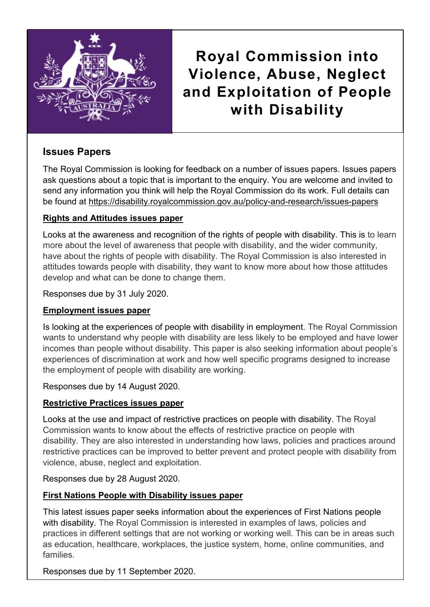

**Royal Commission into Violence, Abuse, Neglect and Exploitation of People with Disability**

#### **Issues Papers**

The Royal Commission is looking for feedback on a number of issues papers. Issues papers ask questions about a topic that is important to the enquiry. You are welcome and invited to send any information you think will help the Royal Commission do its work. Full details can be found at https://disability.royalcommission.gov.au/policy-and-research/issues-papers

#### **Rights and Attitudes issues paper**

Looks at the awareness and recognition of the rights of people with disability. This is to learn more about the level of awareness that people with disability, and the wider community, have about the rights of people with disability. The Royal Commission is also interested in attitudes towards people with disability, they want to know more about how those attitudes develop and what can be done to change them.

Responses due by 31 July 2020.

#### **Employment issues paper**

Is looking at the experiences of people with disability in employment. The Royal Commission wants to understand why people with disability are less likely to be employed and have lower incomes than people without disability. This paper is also seeking information about people's experiences of discrimination at work and how well specific programs designed to increase the employment of people with disability are working.

Responses due by 14 August 2020.

#### **Restrictive Practices issues paper**

Looks at the use and impact of restrictive practices on people with disability. The Royal Commission wants to know about the effects of restrictive practice on people with disability. They are also interested in understanding how laws, policies and practices around restrictive practices can be improved to better prevent and protect people with disability from violence, abuse, neglect and exploitation.

Responses due by 28 August 2020.

#### **First Nations People with Disability issues paper**

This latest issues paper seeks information about the experiences of First Nations people with disability. The Royal Commission is interested in examples of laws, policies and practices in different settings that are not working or working well. This can be in areas such as education, healthcare, workplaces, the justice system, home, online communities, and families.

Responses due by 11 September 2020.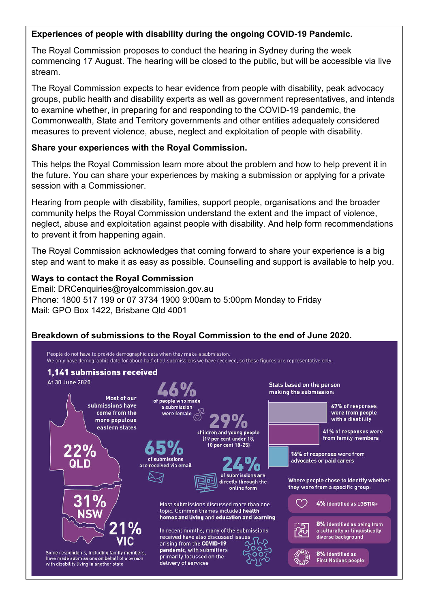#### **Experiences of people with disability during the ongoing COVID-19 Pandemic.**

The Royal Commission proposes to conduct the hearing in Sydney during the week commencing 17 August. The hearing will be closed to the public, but will be accessible via live stream.

The Royal Commission expects to hear evidence from people with disability, peak advocacy groups, public health and disability experts as well as government representatives, and intends to examine whether, in preparing for and responding to the COVID-19 pandemic, the Commonwealth, State and Territory governments and other entities adequately considered measures to prevent violence, abuse, neglect and exploitation of people with disability.

#### **Share your experiences with the Royal Commission.**

This helps the Royal Commission learn more about the problem and how to help prevent it in the future. You can share your experiences by making a submission or applying for a private session with a Commissioner.

Hearing from people with disability, families, support people, organisations and the broader community helps the Royal Commission understand the extent and the impact of violence, neglect, abuse and exploitation against people with disability. And help form recommendations to prevent it from happening again.

The Royal Commission acknowledges that coming forward to share your experience is a big step and want to make it as easy as possible. Counselling and support is available to help you.

#### **Ways to contact the Royal Commission**

Email: DRCenquiries@royalcommission.gov.au Phone: 1800 517 199 or 07 3734 1900 9:00am to 5:00pm Monday to Friday Mail: GPO Box 1422, Brisbane Qld 4001

#### **Breakdown of submissions to the Royal Commission to the end of June 2020.**

People do not have to provide demographic data when they make a submission. We only have demographic data for about half of all submissions we have received, so these figures are representative only.

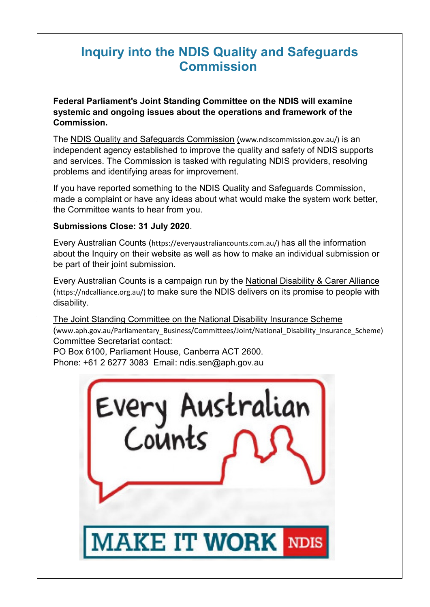#### **These supermarkets now have programs to assist people with disabilities. Inquiry into the NDIS Quality and Safeguards Commission**

**Federal Parliament's Joint Standing Committee on the NDIS will examine systemic and ongoing issues about the operations and framework of the Commission.**

independent agency established to improve the quality and safety of NDIS supports and services. The Commission is tasked with regulating NDIS providers, resolving [Priority Assistance service](http://enews.seniorscard.nsw.gov.au/link/id/zzzz5e8d81691a75f141Pzzzz5e4e06196ef40405/page.html) will ensure vulnerable customers in the community have access to The NDIS Quality and Safeguards Commission (www.ndiscommission.gov.au/) is an problems and identifying areas for improvement.

 $\vert$  If you have reported something to the NDIS Quality and Safeguards Commission, made a complaint or have any ideas about what would make the system work better,  $\frac{m}{n}$  $\parallel$  the Committee wants to hear from you.

#### **Submissions Close: 31 July 2020**.

 $\overline{\phantom{a}}$ 

the store

[Community Pick Up](http://enews.seniorscard.nsw.gov.au/link/id/zzzz5e8d81691db51526Pzzzz5e4e06196ef40405/page.html) is now available in 700 selected locations to allow Priority Assistance **Every Australian Counts** (https://everyaustraliancounts.com.au/) has all the information about the Inquiry on their website as well as how to make an individual submission or<br>about the service in the service as well as how to make an individual submission or  $\overline{a}$ be part of their joint submission.

(https://ndcalliance.org.au/) to make sure the NDIS delivers on its promise to people with  $\vert$  disability.  $\vert$  disability. Every Australian Counts is a campaign run by the National Disability & Carer Alliance disability.

The Joint Standing Committee on the National Disability Insurance Scheme (www.aph.gov.au/Parliamentary\_Business/Committees/Joint/National\_Disability\_Insurance\_Scheme) Committee Secretariat contact:

PO Box 6100, Parliament House, Canberra ACT 2600. Phone: +61 2 6277 3083 Email: ndis.sen@aph.gov.au

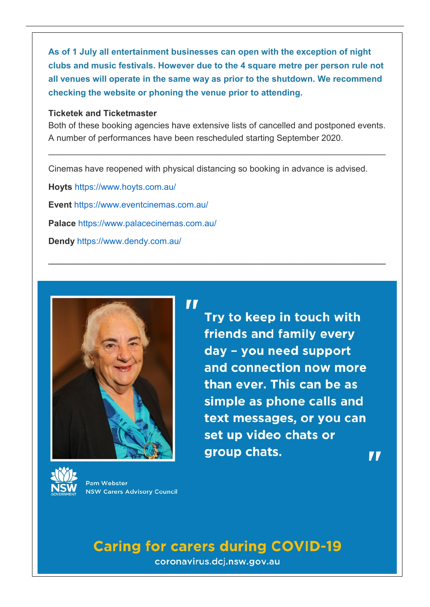**As of 1 July all entertainment businesses can open with the exception of night clubs and music festivals. However due to the 4 square metre per person rule not all venues will operate in the same way as prior to the shutdown. We recommend checking the website or phoning the venue prior to attending.**

#### **[Ticketek](http://enews.seniorscard.nsw.gov.au/link/id/zzzz5efc3ebe19a2a004Pzzzz5e4e06196ef40405/page.html) and [Ticketmaster](http://enews.seniorscard.nsw.gov.au/link/id/zzzz5efc3ebe1c3b5739Pzzzz5e4e06196ef40405/page.html)**

Both of these booking agencies have extensive lists of cancelled and postponed events. A number of performances have been rescheduled starting September 2020.

\_\_\_\_\_\_\_\_\_\_\_\_\_\_\_\_\_\_\_\_\_\_\_\_\_\_\_\_\_\_\_\_\_\_\_\_\_\_\_\_\_\_\_\_\_\_\_\_\_\_\_\_\_\_\_\_\_\_\_\_\_\_\_\_\_\_\_\_\_\_

\_\_\_\_\_\_\_\_\_\_\_\_\_\_\_\_\_\_\_\_\_\_\_\_\_\_\_\_\_\_\_\_\_\_\_\_\_\_\_\_\_\_\_\_\_\_\_\_\_\_\_\_\_\_\_\_\_\_\_\_\_\_\_\_\_\_\_\_\_\_

Cinemas have reopened with physical distancing so booking in advance is advised.

**[Hoyts](http://enews.seniorscard.nsw.gov.au/link/id/zzzz5efc3ebe1fa71641Pzzzz5e4e06196ef40405/page.html)** <https://www.hoyts.com.au/> **[Event](http://enews.seniorscard.nsw.gov.au/link/id/zzzz5efc3ebe22726195Pzzzz5e4e06196ef40405/page.html)** <https://www.eventcinemas.com.au/> **[Palace](http://enews.seniorscard.nsw.gov.au/link/id/zzzz5efc3ebe24788670Pzzzz5e4e06196ef40405/page.html)** <https://www.palacecinemas.com.au/> **[Dendy](http://enews.seniorscard.nsw.gov.au/link/id/zzzz5efc3ebe26d34412Pzzzz5e4e06196ef40405/page.html)** <https://www.dendy.com.au/>





Try to keep in touch with friends and family every day - you need support and connection now more than ever. This can be as simple as phone calls and text messages, or you can set up video chats or group chats. 7 T



**Pam Webster NSW Carers Advisory Council** 

# **Caring for carers during COVID-19**

coronavirus.dcj.nsw.gov.au